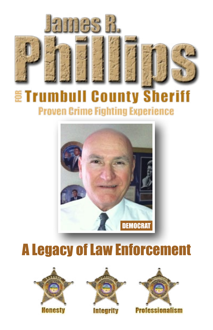

### **ETrumbull County Sheriff Proven Crime Fighting Experience**



# A Legacy of Law Enforcement





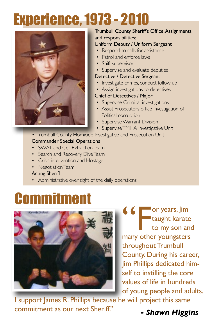# Experience, 1973 - 2010



#### Trumbull County Sheriff's Office, Assignments and responsibilities:

#### Uniform Deputy / Uniform Sergeant

- Respond to calls for assistance
- Patrol and enforce laws
- Shift supervisor
- Supervise and evaluate deputies

#### Detective / Detective Sergeant

- Investigate crimes, conduct follow up
- Assign investigations to detectives

#### Chief of Detectives / Major

- Supervise Criminal investigations
- Assist Prosecutors office investigation of Political corruption
- Supervise Warrant Division
- Supervise TMHA Investigative Unit
- Trumbull County Homicide Investigative and Prosecution Unit Commander Special Operations
- SWAT and Cell Extraction Team
- Search and Recovery Dive Team
- Crisis intervention and Hostage
- Negotiation Team

#### Acting Sheriff

Administrative over sight of the daily operations

## **Commitment**



<sup>or</sup> years, Jim<br>taught karate<br>to my son an taught karate to my son and many other youngsters throughout Trumbull County. During his career, Jim Phillips dedicated himself to instilling the core values of life in hundreds of young people and adults.

I support James R. Phillips because he will project this same commitment as our next Sheriff." *- Shawn Higgins*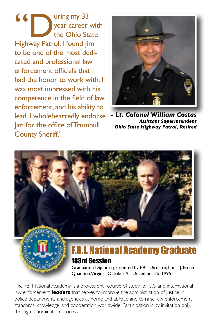K<br>
Year career with the Ohio State<br>
Highway Patrol, I found Jim year career with the Ohio State to be one of the most dedicated and professional law enforcement officials that I had the honor to work with. I was most impressed with his competence in the field of law enforcement, and his ability to lead. I wholeheartedly endorse Jim for the office of Trumbull County Sheriff."



*- Lt. Colonel William Costas Assistant Superintendent Ohio State Highway Patrol, Retired*



The FBI National Academy is a professional course of study for U.S. and international law enforcement *leaders* that serves to improve the administration of justice in police departments and agencies at home and abroad and to raise law enforcement standards, knowledge, and cooperation worldwide. Participation is by invitation only, through a nomination process.